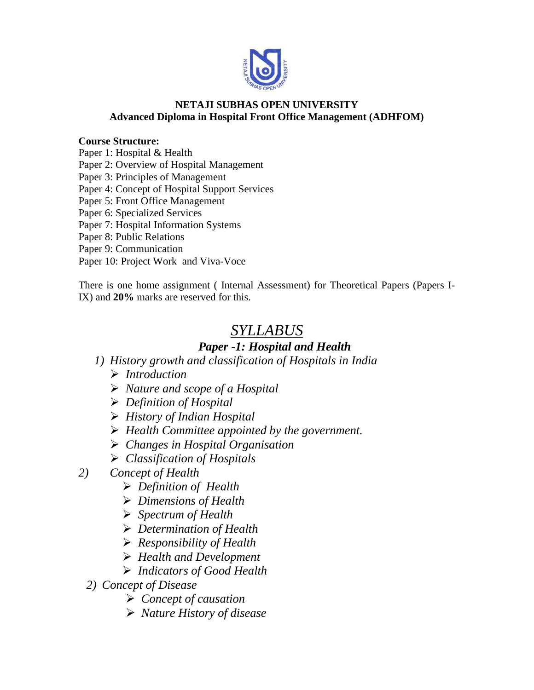

#### **NETAJI SUBHAS OPEN UNIVERSITY Advanced Diploma in Hospital Front Office Management (ADHFOM)**

#### **Course Structure:**

Paper 1: Hospital & Health

Paper 2: Overview of Hospital Management

Paper 3: Principles of Management

Paper 4: Concept of Hospital Support Services

Paper 5: Front Office Management

Paper 6: Specialized Services

Paper 7: Hospital Information Systems

Paper 8: Public Relations

Paper 9: Communication

Paper 10: Project Work and Viva-Voce

There is one home assignment ( Internal Assessment) for Theoretical Papers (Papers I-IX) and **20%** marks are reserved for this.

# *SYLLABUS*

### *Paper -1: Hospital and Health*

- *1) History growth and classification of Hospitals in India*
	- *Introduction*
	- *Nature and scope of a Hospital*
	- *Definition of Hospital*
	- *History of Indian Hospital*
	- *Health Committee appointed by the government.*
	- *Changes in Hospital Organisation*
	- *Classification of Hospitals*
- *2) Concept of Health*
	- *Definition of Health*
	- *Dimensions of Health*
	- *Spectrum of Health*
	- *Determination of Health*
	- *Responsibility of Health*
	- *Health and Development*
	- *Indicators of Good Health*
	- *2) Concept of Disease*
		- *Concept of causation*
		- *Nature History of disease*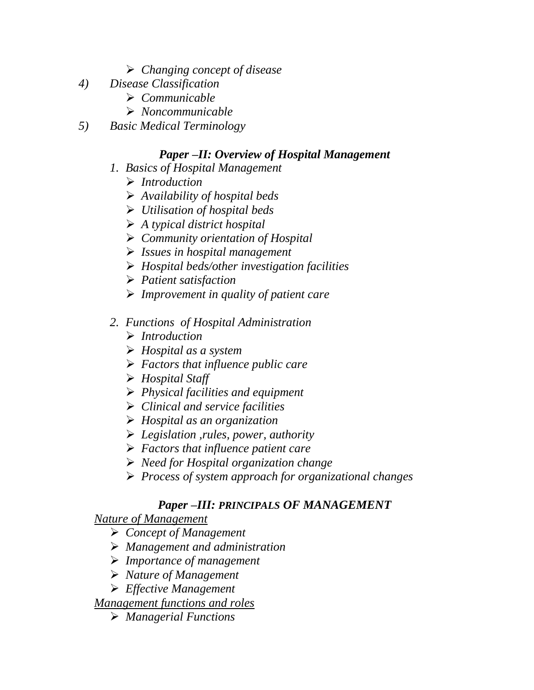- *Changing concept of disease*
- *4) Disease Classification*
	- *Communicable*
	- *Noncommunicable*
- *5) Basic Medical Terminology*

### *Paper –II: Overview of Hospital Management*

- *1. Basics of Hospital Management*
	- *Introduction*
	- *Availability of hospital beds*
	- *Utilisation of hospital beds*
	- *A typical district hospital*
	- *Community orientation of Hospital*
	- *Issues in hospital management*
	- *Hospital beds/other investigation facilities*
	- *Patient satisfaction*
	- *Improvement in quality of patient care*

### *2. Functions of Hospital Administration*

- *Introduction*
- *Hospital as a system*
- *Factors that influence public care*
- *Hospital Staff*
- *Physical facilities and equipment*
- *Clinical and service facilities*
- *Hospital as an organization*
- *Legislation ,rules, power, authority*
- *Factors that influence patient care*
- *Need for Hospital organization change*
- *Process of system approach for organizational changes*

### *Paper –III: PRINCIPALS OF MANAGEMENT*

*Nature of Management*

- *Concept of Management*
- *Management and administration*
- *Importance of management*
- *Nature of Management*
- *Effective Management*

*Management functions and roles*

*Managerial Functions*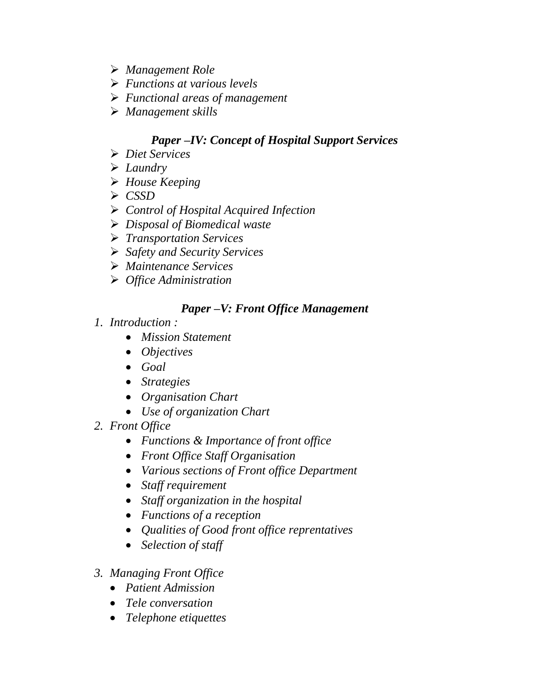- *Management Role*
- *Functions at various levels*
- *Functional areas of management*
- *Management skills*

## *Paper –IV: Concept of Hospital Support Services*

- *Diet Services*
- *Laundry*
- *House Keeping*
- *CSSD*
- *Control of Hospital Acquired Infection*
- *Disposal of Biomedical waste*
- *Transportation Services*
- *Safety and Security Services*
- *Maintenance Services*
- *Office Administration*

### *Paper –V: Front Office Management*

- *1. Introduction :*
	- *Mission Statement*
	- *Objectives*
	- *Goal*
	- *Strategies*
	- *Organisation Chart*
	- *Use of organization Chart*
- *2. Front Office*
	- *Functions & Importance of front office*
	- *Front Office Staff Organisation*
	- *Various sections of Front office Department*
	- *Staff requirement*
	- *Staff organization in the hospital*
	- *Functions of a reception*
	- *Qualities of Good front office reprentatives*
	- *Selection of staff*
- *3. Managing Front Office*
	- *Patient Admission*
	- *Tele conversation*
	- *Telephone etiquettes*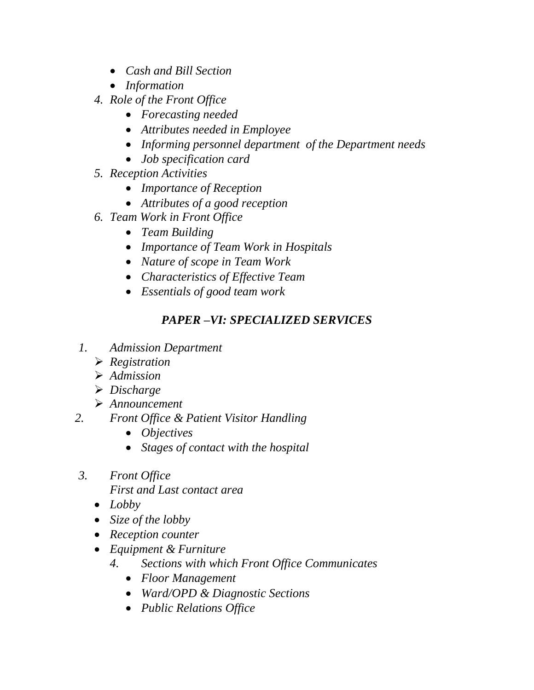- *Cash and Bill Section*
- *Information*
- *4. Role of the Front Office*
	- *Forecasting needed*
	- *Attributes needed in Employee*
	- *Informing personnel department of the Department needs*
	- *Job specification card*
- *5. Reception Activities*
	- *Importance of Reception*
	- *Attributes of a good reception*
- *6. Team Work in Front Office*
	- *Team Building*
	- *Importance of Team Work in Hospitals*
	- *Nature of scope in Team Work*
	- *Characteristics of Effective Team*
	- *Essentials of good team work*

## *PAPER –VI: SPECIALIZED SERVICES*

- *1. Admission Department*
	- *Registration*
	- *Admission*
	- *Discharge*
	- *Announcement*
- *2. Front Office & Patient Visitor Handling*
	- *Objectives*
	- *Stages of contact with the hospital*
- *3. Front Office* 
	- *First and Last contact area*
	- *Lobby*
	- *Size of the lobby*
	- *Reception counter*
	- *Equipment & Furniture*
		- *4. Sections with which Front Office Communicates*
			- *Floor Management*
			- *Ward/OPD & Diagnostic Sections*
			- *Public Relations Office*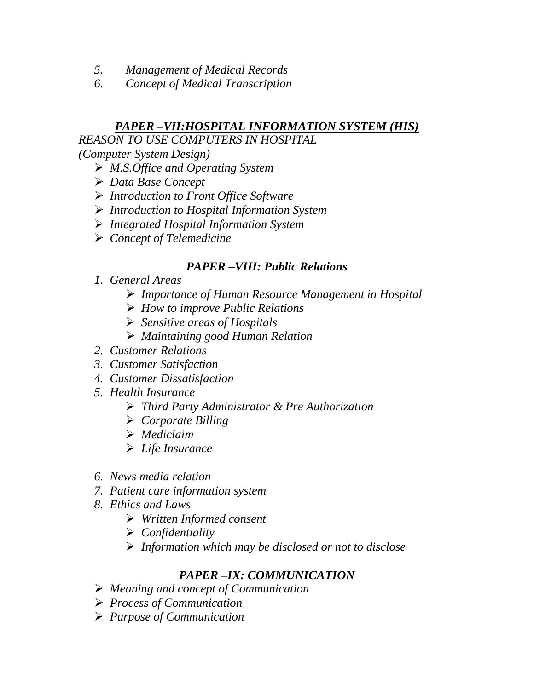- *5. Management of Medical Records*
- *6. Concept of Medical Transcription*

### *PAPER –VII:HOSPITAL INFORMATION SYSTEM (HIS)*

*REASON TO USE COMPUTERS IN HOSPITAL*

*(Computer System Design)*

- *M.S.Office and Operating System*
- *Data Base Concept*
- *Introduction to Front Office Software*
- *Introduction to Hospital Information System*
- *Integrated Hospital Information System*
- *Concept of Telemedicine*

### *PAPER –VIII: Public Relations*

- *1. General Areas*
	- *Importance of Human Resource Management in Hospital*
	- *How to improve Public Relations*
	- *Sensitive areas of Hospitals*
	- *Maintaining good Human Relation*
- *2. Customer Relations*
- *3. Customer Satisfaction*
- *4. Customer Dissatisfaction*
- *5. Health Insurance*
	- *Third Party Administrator & Pre Authorization*
	- *Corporate Billing*
	- *Mediclaim*
	- *Life Insurance*
- *6. News media relation*
- *7. Patient care information system*
- *8. Ethics and Laws*
	- *Written Informed consent*
	- *Confidentiality*
	- *Information which may be disclosed or not to disclose*

### *PAPER –IX: COMMUNICATION*

- *Meaning and concept of Communication*
- *Process of Communication*
- *Purpose of Communication*